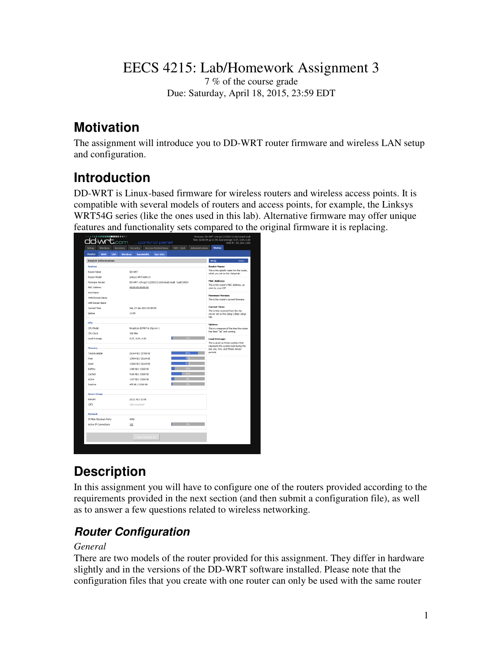### EECS 4215: Lab/Homework Assignment 3

7 % of the course grade Due: Saturday, April 18, 2015, 23:59 EDT

### **Motivation**

The assignment will introduce you to DD-WRT router firmware and wireless LAN setup and configuration.

## **Introduction**

DD-WRT is Linux-based firmware for wireless routers and wireless access points. It is compatible with several models of routers and access points, for example, the Linksys WRT54G series (like the ones used in this lab). Alternative firmware may offer unique features and functionality sets compared to the original firmware it is replacing.

| <b>Setup</b><br>Wireless<br><b>Services</b> | <b>Access Restrictions</b><br>Security                                       | NAT / QoS<br>Administration                                                 | <b>Status</b>                                                              |  |  |
|---------------------------------------------|------------------------------------------------------------------------------|-----------------------------------------------------------------------------|----------------------------------------------------------------------------|--|--|
| Router<br><b>WAN</b><br><b>LAN</b>          | Wireless<br><b>Bandwidth</b><br>Sys-Info                                     |                                                                             |                                                                            |  |  |
| <b>Router Information</b>                   |                                                                              |                                                                             | Help<br>more                                                               |  |  |
| <b>System</b>                               |                                                                              |                                                                             | Router Name:                                                               |  |  |
| Router Name                                 | This is the specific name for the router,<br>which you set on the Setup tab. |                                                                             |                                                                            |  |  |
| Router Model                                |                                                                              |                                                                             |                                                                            |  |  |
| Firmware Version                            | <b>MAC Address:</b><br>This is the router's MAC Address, as                  |                                                                             |                                                                            |  |  |
| MAC Address                                 | 00:00:00:00:00:00                                                            |                                                                             |                                                                            |  |  |
| Host Name                                   |                                                                              |                                                                             |                                                                            |  |  |
| WAN Domain Name                             |                                                                              |                                                                             | <b>Firmware Version:</b><br>This is the router's current firmware.         |  |  |
| LAN Domain Name                             |                                                                              |                                                                             |                                                                            |  |  |
| Current Time                                | Sat, 21 Jan 2012 02:00:54                                                    | <b>Current Time:</b>                                                        |                                                                            |  |  |
| Uptime                                      | 11:59                                                                        | This is time received from the ntp<br>server set on the Setup / Basic Setup |                                                                            |  |  |
|                                             |                                                                              |                                                                             | tab.                                                                       |  |  |
| CPU                                         |                                                                              |                                                                             | <b>Uptime:</b>                                                             |  |  |
| CPU Model                                   | Broadcom BCM4716 chip rev 1                                                  |                                                                             | This is a measure of the time the router<br>has been "up" and running.     |  |  |
| CPU Clock                                   | 300 MHz                                                                      |                                                                             |                                                                            |  |  |
| Load Average                                | 0.07, 0.04, 0.00                                                             |                                                                             | <b>Load Average:</b><br>This is given as three numbers that                |  |  |
| Memory                                      |                                                                              |                                                                             | represent the system load during the<br>last one, five, and fifteen minute |  |  |
| <b>Total Available</b>                      | 26164 kB / 32768 kB                                                          | 80%                                                                         | periods.                                                                   |  |  |
| Free                                        | 12904 kB / 26164 kB                                                          |                                                                             |                                                                            |  |  |
| Used                                        | 13260 NB / 26164 NB                                                          | S.                                                                          |                                                                            |  |  |
| <b>Buffers</b>                              | 1308 18 / 13260 18                                                           |                                                                             |                                                                            |  |  |
| Cached                                      | 4160 kB / 13260 kB                                                           |                                                                             |                                                                            |  |  |
| Active                                      | 1187 kB / 13260 kB                                                           |                                                                             |                                                                            |  |  |
| Inactive                                    | 455 kB / 13260 kB                                                            |                                                                             |                                                                            |  |  |
| <b>Space Usage</b>                          |                                                                              |                                                                             |                                                                            |  |  |
| <b>M/RAM</b>                                | 20.21 KB / 32 KB                                                             |                                                                             |                                                                            |  |  |
| CIFS                                        | (Not mounted)                                                                |                                                                             |                                                                            |  |  |
|                                             |                                                                              |                                                                             |                                                                            |  |  |
| <b>Network</b>                              |                                                                              |                                                                             |                                                                            |  |  |
| IP Filter Maximum Ports                     | 4096                                                                         |                                                                             |                                                                            |  |  |
| Active IP Connections                       | 102                                                                          |                                                                             |                                                                            |  |  |
|                                             | Auto-Refresh is O                                                            |                                                                             |                                                                            |  |  |
|                                             |                                                                              |                                                                             |                                                                            |  |  |

# **Description**

In this assignment you will have to configure one of the routers provided according to the requirements provided in the next section (and then submit a configuration file), as well as to answer a few questions related to wireless networking.

### **Router Configuration**

#### *General*

There are two models of the router provided for this assignment. They differ in hardware slightly and in the versions of the DD-WRT software installed. Please note that the configuration files that you create with one router can only be used with the same router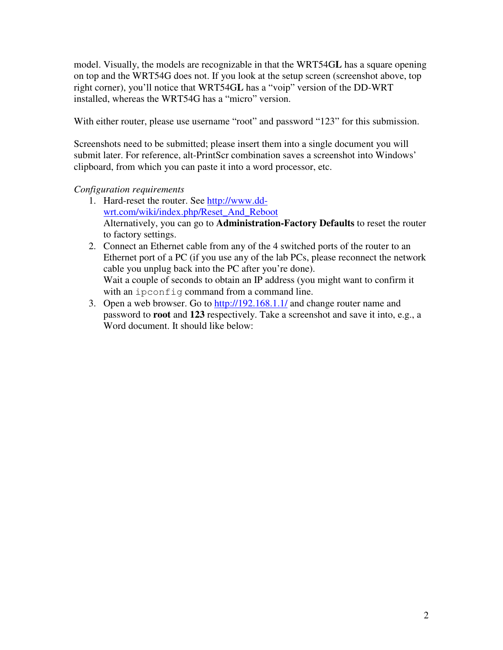model. Visually, the models are recognizable in that the WRT54G**L** has a square opening on top and the WRT54G does not. If you look at the setup screen (screenshot above, top right corner), you'll notice that WRT54G**L** has a "voip" version of the DD-WRT installed, whereas the WRT54G has a "micro" version.

With either router, please use username "root" and password "123" for this submission.

Screenshots need to be submitted; please insert them into a single document you will submit later. For reference, alt-PrintScr combination saves a screenshot into Windows' clipboard, from which you can paste it into a word processor, etc.

#### *Configuration requirements*

- 1. Hard-reset the router. See http://www.ddwrt.com/wiki/index.php/Reset\_And\_Reboot Alternatively, you can go to **Administration-Factory Defaults** to reset the router to factory settings.
- 2. Connect an Ethernet cable from any of the 4 switched ports of the router to an Ethernet port of a PC (if you use any of the lab PCs, please reconnect the network cable you unplug back into the PC after you're done). Wait a couple of seconds to obtain an IP address (you might want to confirm it with an ipconfig command from a command line.
- 3. Open a web browser. Go to http://192.168.1.1/ and change router name and password to **root** and **123** respectively. Take a screenshot and save it into, e.g., a Word document. It should like below: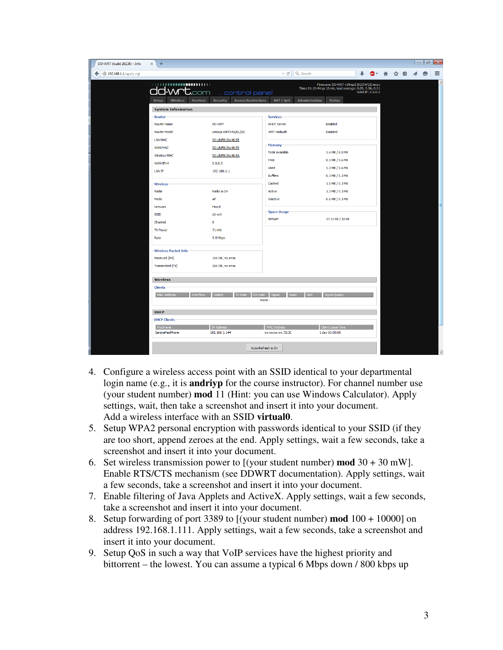| DD-WRT (build 26138) - Info<br>÷<br>$\times$  |                                                                                   |                                               |                                                                                                                                          |                 |          | $ -$           | $\mathbf{x}$ |
|-----------------------------------------------|-----------------------------------------------------------------------------------|-----------------------------------------------|------------------------------------------------------------------------------------------------------------------------------------------|-----------------|----------|----------------|--------------|
| $\leftarrow$ ( 192.168.1.1/apply.cgi          |                                                                                   | Q. Search<br>$\overline{\vee}$ C <sup>d</sup> |                                                                                                                                          |                 | ●▼ 俞 ☆ 自 | $\bullet$<br>◀ | $\equiv$     |
| dd-wrt.com<br><b>Setup</b><br><b>Wireless</b> | control panel<br><b>Services</b><br><b>Security</b><br><b>Access Restrictions</b> | NAT / QoS                                     | Firmware: DD-WRT v24-sp2 (02/04/15) micro<br>Time: 01:10:44 up 10 min, load average: 0.09, 0.06, 0.01<br>Administration<br><b>Status</b> | WAN IP: 0.0.0.0 |          |                |              |
| <b>System Information</b>                     |                                                                                   |                                               |                                                                                                                                          |                 |          |                |              |
| Router                                        |                                                                                   | <b>Services</b>                               |                                                                                                                                          |                 |          |                |              |
| <b>Router Name</b>                            | DD-WRT                                                                            | <b>DHCP Server</b>                            | Enabled                                                                                                                                  |                 |          |                |              |
| <b>Router Model</b>                           | Linksys WRT54G/GL/GS                                                              | WRT-radauth                                   | Disabled                                                                                                                                 |                 |          |                |              |
| <b>LAN MAC</b>                                | 00:18:F8:3A:46:58                                                                 |                                               |                                                                                                                                          |                 |          |                |              |
| <b>WAN MAC</b>                                | 00:18:F8:3A:46:59                                                                 | Memory                                        |                                                                                                                                          |                 |          |                |              |
| Wireless MAC                                  | 00:18:F8:3A:46:5A                                                                 | <b>Total Available</b>                        | 5.6 MB / 8.0 MB                                                                                                                          |                 |          |                |              |
| WAN IPv4                                      | 0.0.0.0                                                                           | Free                                          | 0.3 MB / 5.6 MB                                                                                                                          |                 |          |                |              |
| <b>LAN IP</b>                                 | 192.168.1.1                                                                       | <b>Used</b>                                   | 5.3 MB / 5.6 MB                                                                                                                          |                 |          |                |              |
|                                               |                                                                                   | <b>Buffers</b>                                | 0.3 MB / 5.3 MB                                                                                                                          |                 |          |                |              |
| <b>Wireless</b>                               |                                                                                   | Cached                                        | 1.5 MB / 5.3 MB                                                                                                                          |                 |          |                |              |
| Radio                                         | Radio is On                                                                       | Active                                        | 1.3 MB / 5.3 MB                                                                                                                          |                 |          |                |              |
| Mode                                          | AP                                                                                | Inactive                                      | 0.6 MB / 5.3 MB                                                                                                                          |                 |          |                |              |
| Network                                       | Mixed                                                                             |                                               |                                                                                                                                          |                 |          |                |              |
| <b>SSID</b>                                   | dd-wrt                                                                            | <b>Space Usage</b>                            |                                                                                                                                          |                 |          |                |              |
| Channel                                       | 6                                                                                 | <b>NVRAM</b>                                  | 17.31 KB / 32 KB                                                                                                                         |                 |          |                |              |
| <b>TX Power</b>                               | 71 mW                                                                             |                                               |                                                                                                                                          |                 |          |                |              |
| Rate                                          | 5.5 Mbps                                                                          |                                               |                                                                                                                                          |                 |          |                |              |
| <b>Wireless Packet Info</b>                   |                                                                                   |                                               |                                                                                                                                          |                 |          |                |              |
| Received (RX)                                 | 106 OK, no error                                                                  |                                               |                                                                                                                                          |                 |          |                |              |
| Transmitted (TX)                              | 266 OK, no error                                                                  |                                               |                                                                                                                                          |                 |          |                |              |
| <b>Wireless</b>                               |                                                                                   |                                               |                                                                                                                                          |                 |          |                |              |
| <b>Clients</b>                                |                                                                                   |                                               |                                                                                                                                          |                 |          |                |              |
| <b>MAC Addres</b>                             | <b>TX Rate</b>                                                                    | RX Rate Signal<br>- None                      | inal Ou                                                                                                                                  |                 |          |                |              |
| <b>DHCP</b>                                   |                                                                                   |                                               |                                                                                                                                          |                 |          |                |              |
| <b>DHCP Clients</b>                           |                                                                                   |                                               |                                                                                                                                          |                 |          |                |              |
| Hostname                                      | <b>IP Address</b>                                                                 | <b>MAC Address</b>                            | <b>Client Lease Time</b>                                                                                                                 |                 |          |                |              |
| SanjnaPasiPhone                               | 192.168.1.144                                                                     | xx:xx:xx:xx:72:3C                             | 1 day 00:00:00                                                                                                                           |                 |          |                |              |
|                                               |                                                                                   | Auto-Refresh is On                            |                                                                                                                                          |                 |          |                |              |
|                                               |                                                                                   |                                               |                                                                                                                                          |                 |          |                |              |

- 4. Configure a wireless access point with an SSID identical to your departmental login name (e.g., it is **andriyp** for the course instructor). For channel number use (your student number) **mod** 11 (Hint: you can use Windows Calculator). Apply settings, wait, then take a screenshot and insert it into your document. Add a wireless interface with an SSID **virtual0**.
- 5. Setup WPA2 personal encryption with passwords identical to your SSID (if they are too short, append zeroes at the end. Apply settings, wait a few seconds, take a screenshot and insert it into your document.
- 6. Set wireless transmission power to [(your student number) **mod** 30 + 30 mW]. Enable RTS/CTS mechanism (see DDWRT documentation). Apply settings, wait a few seconds, take a screenshot and insert it into your document.
- 7. Enable filtering of Java Applets and ActiveX. Apply settings, wait a few seconds, take a screenshot and insert it into your document.
- 8. Setup forwarding of port 3389 to [(your student number) **mod** 100 + 10000] on address 192.168.1.111. Apply settings, wait a few seconds, take a screenshot and insert it into your document.
- 9. Setup QoS in such a way that VoIP services have the highest priority and bittorrent – the lowest. You can assume a typical 6 Mbps down / 800 kbps up